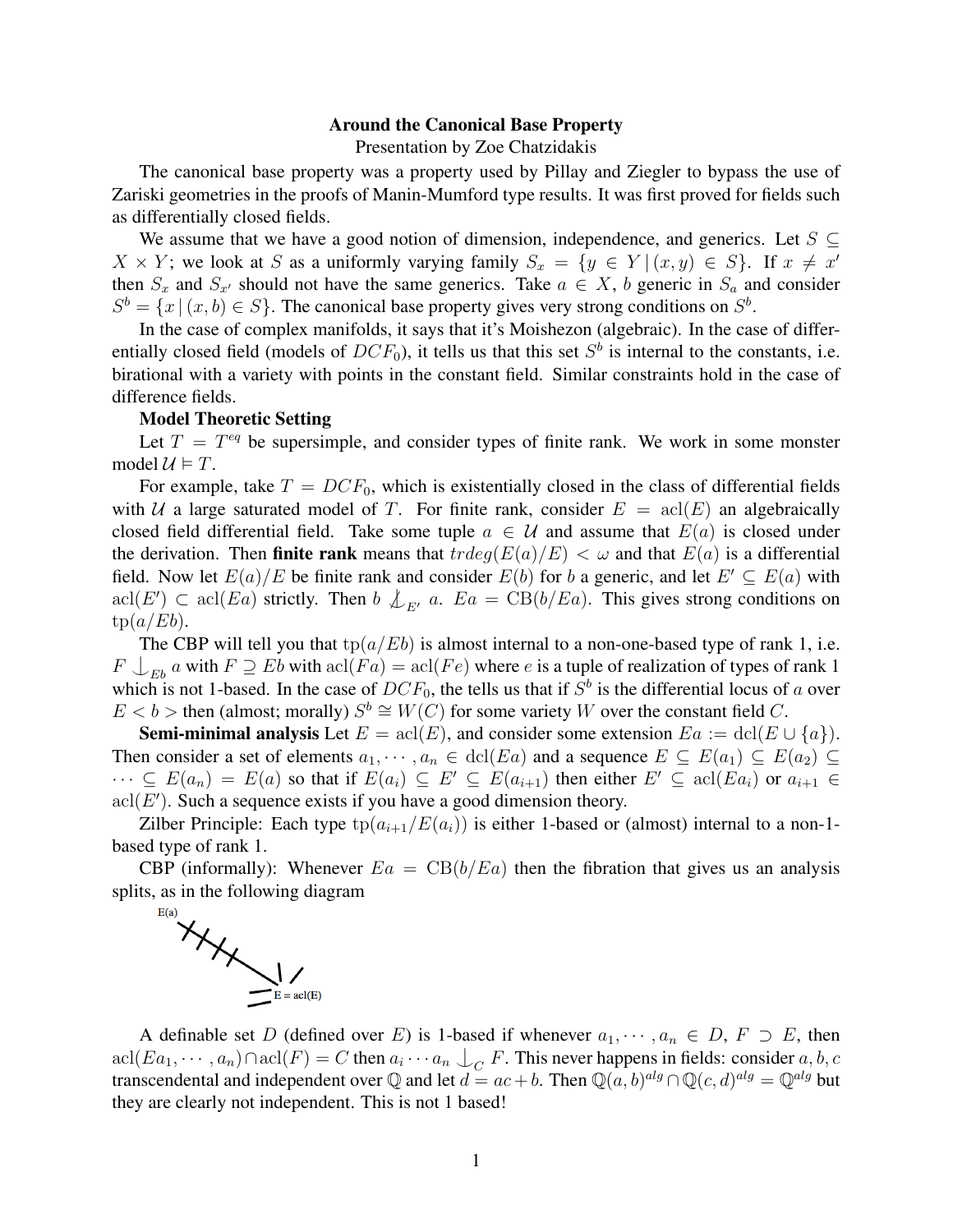## Around the Canonical Base Property

Presentation by Zoe Chatzidakis

The canonical base property was a property used by Pillay and Ziegler to bypass the use of Zariski geometries in the proofs of Manin-Mumford type results. It was first proved for fields such as differentially closed fields.

We assume that we have a good notion of dimension, independence, and generics. Let  $S \subseteq$  $X \times Y$ ; we look at S as a uniformly varying family  $S_x = \{y \in Y | (x, y) \in S\}$ . If  $x \neq x'$ then  $S_x$  and  $S_{x'}$  should not have the same generics. Take  $a \in X$ , b generic in  $S_a$  and consider  $S^b = \{x \mid (x, b) \in S\}$ . The canonical base property gives very strong conditions on  $S^b$ .

In the case of complex manifolds, it says that it's Moishezon (algebraic). In the case of differentially closed field (models of  $DCF_0$ ), it tells us that this set  $S^b$  is internal to the constants, i.e. birational with a variety with points in the constant field. Similar constraints hold in the case of difference fields.

## Model Theoretic Setting

Let  $T = T^{eq}$  be supersimple, and consider types of finite rank. We work in some monster model  $\mathcal{U} \models T$ .

For example, take  $T = DCF_0$ , which is existentially closed in the class of differential fields with U a large saturated model of T. For finite rank, consider  $E = \text{acl}(E)$  an algebraically closed field differential field. Take some tuple  $a \in \mathcal{U}$  and assume that  $E(a)$  is closed under the derivation. Then **finite rank** means that  $trdeg(E(a)/E) < \omega$  and that  $E(a)$  is a differential field. Now let  $E(a)/E$  be finite rank and consider  $E(b)$  for b a generic, and let  $E' \subseteq E(a)$  with  $\text{acl}(E') \subset \text{acl}(Ea)$  strictly. Then  $b \nvert \nvert \nvert E_a = \text{CB}(b/Ea)$ . This gives strong conditions on  $tp(a/Eb).$ 

The CBP will tell you that  $tp(a/Eb)$  is almost internal to a non-one-based type of rank 1, i.e.  $F \cup_{E^b} a$  with  $F \supseteq E^b$  with  $\text{acl}(Fa) = \text{acl}(Fe)$  where e is a tuple of realization of types of rank 1 which is not 1-based. In the case of  $DCF_0$ , the tells us that if  $S^b$  is the differential locus of a over  $E < b$  > then (almost; morally)  $S^b \cong W(C)$  for some variety W over the constant field C.

**Semi-minimal analysis** Let  $E = \text{acl}(E)$ , and consider some extension  $Ea := \text{dcl}(E \cup \{a\})$ . Then consider a set of elements  $a_1, \dots, a_n \in \text{dcl}(Ea)$  and a sequence  $E \subseteq E(a_1) \subseteq E(a_2) \subseteq E(a_3)$  $\cdots \subseteq E(a_n) = E(a)$  so that if  $E(a_i) \subseteq E' \subseteq E(a_{i+1})$  then either  $E' \subseteq \text{acl}(Ea_i)$  or  $a_{i+1} \in$  $\text{acl}(E')$ . Such a sequence exists if you have a good dimension theory.

Zilber Principle: Each type  $tp(a_{i+1}/E(a_i))$  is either 1-based or (almost) internal to a non-1based type of rank 1.

CBP (informally): Whenever  $E_a = CB(b/E_a)$  then the fibration that gives us an analysis splits, as in the following diagram



A definable set D (defined over E) is 1-based if whenever  $a_1, \dots, a_n \in D$ ,  $F \supset E$ , then  $\text{acl}(E a_1, \dots, a_n) \cap \text{acl}(F) = C$  then  $a_i \cdots a_n \bigcup_C F$ . This never happens in fields: consider  $a, b, c$ transcendental and independent over Q and let  $d = ac + b$ . Then  $\mathbb{Q}(a, b)^{alg} \cap \mathbb{Q}(c, d)^{alg} = \mathbb{Q}^{alg}$  but they are clearly not independent. This is not 1 based!